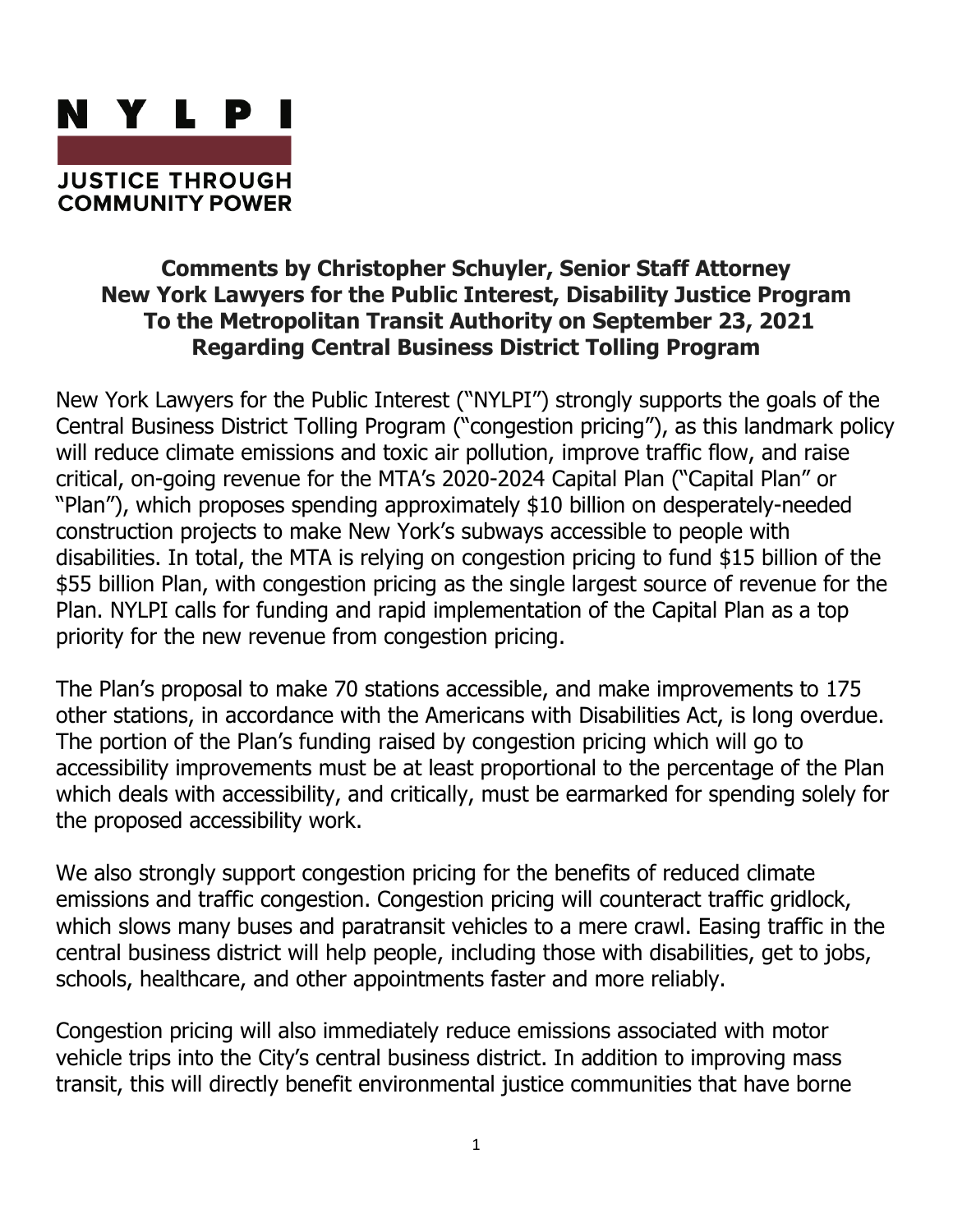

## **Comments by Christopher Schuyler, Senior Staff Attorney New York Lawyers for the Public Interest, Disability Justice Program To the Metropolitan Transit Authority on September 23, 2021 Regarding Central Business District Tolling Program**

New York Lawyers for the Public Interest ("NYLPI") strongly supports the goals of the Central Business District Tolling Program ("congestion pricing"), as this landmark policy will reduce climate emissions and toxic air pollution, improve traffic flow, and raise critical, on-going revenue for the MTA's 2020-2024 Capital Plan ("Capital Plan" or "Plan"), which proposes spending approximately \$10 billion on desperately-needed construction projects to make New York's subways accessible to people with disabilities. In total, the MTA is relying on congestion pricing to fund \$15 billion of the \$55 billion Plan, with congestion pricing as the single largest source of revenue for the Plan. NYLPI calls for funding and rapid implementation of the Capital Plan as a top priority for the new revenue from congestion pricing.

The Plan's proposal to make 70 stations accessible, and make improvements to 175 other stations, in accordance with the Americans with Disabilities Act, is long overdue. The portion of the Plan's funding raised by congestion pricing which will go to accessibility improvements must be at least proportional to the percentage of the Plan which deals with accessibility, and critically, must be earmarked for spending solely for the proposed accessibility work.

We also strongly support congestion pricing for the benefits of reduced climate emissions and traffic congestion. Congestion pricing will counteract traffic gridlock, which slows many buses and paratransit vehicles to a mere crawl. Easing traffic in the central business district will help people, including those with disabilities, get to jobs, schools, healthcare, and other appointments faster and more reliably.

Congestion pricing will also immediately reduce emissions associated with motor vehicle trips into the City's central business district. In addition to improving mass transit, this will directly benefit environmental justice communities that have borne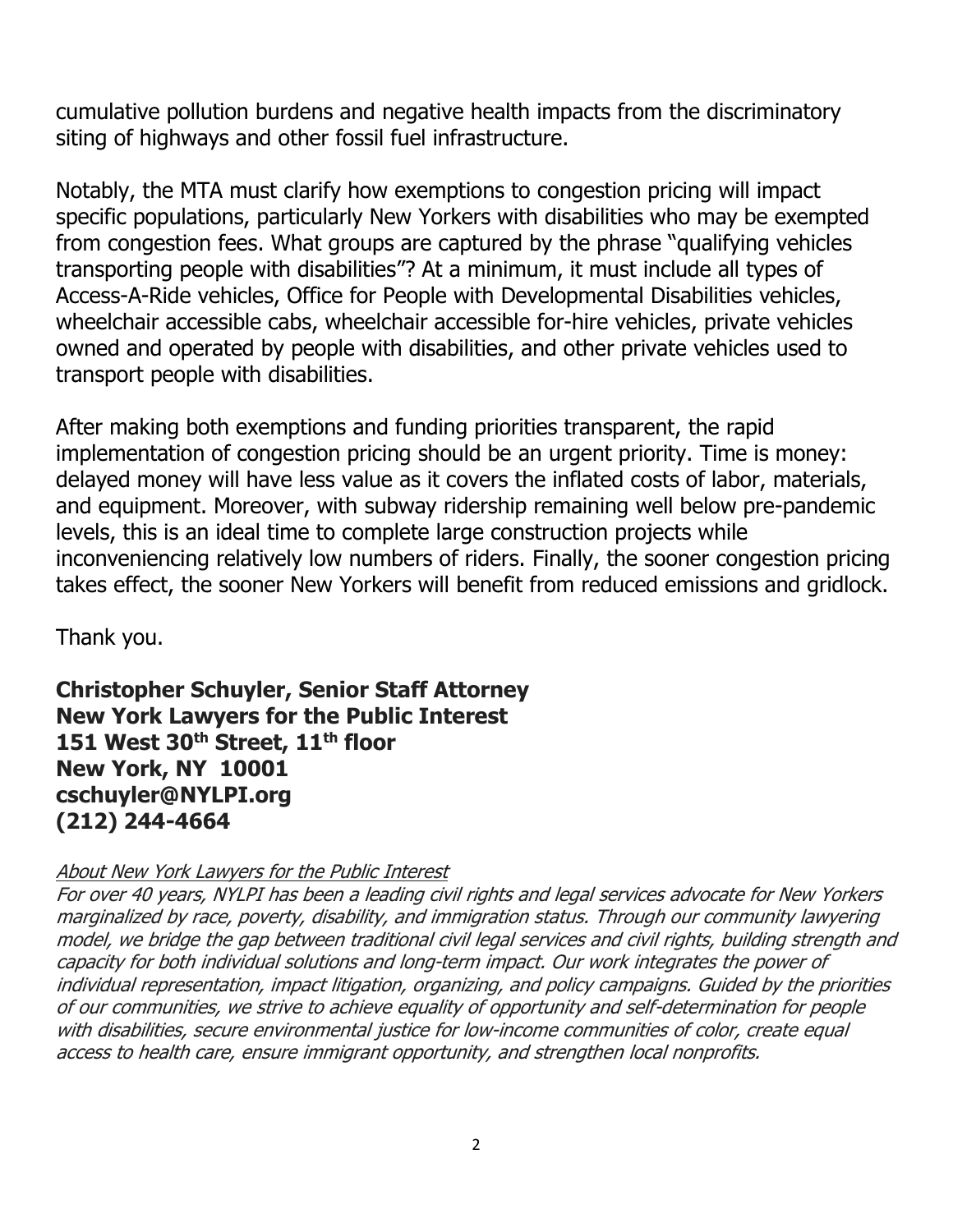cumulative pollution burdens and negative health impacts from the discriminatory siting of highways and other fossil fuel infrastructure.

Notably, the MTA must clarify how exemptions to congestion pricing will impact specific populations, particularly New Yorkers with disabilities who may be exempted from congestion fees. What groups are captured by the phrase "qualifying vehicles transporting people with disabilities"? At a minimum, it must include all types of Access-A-Ride vehicles, Office for People with Developmental Disabilities vehicles, wheelchair accessible cabs, wheelchair accessible for-hire vehicles, private vehicles owned and operated by people with disabilities, and other private vehicles used to transport people with disabilities.

After making both exemptions and funding priorities transparent, the rapid implementation of congestion pricing should be an urgent priority. Time is money: delayed money will have less value as it covers the inflated costs of labor, materials, and equipment. Moreover, with subway ridership remaining well below pre-pandemic levels, this is an ideal time to complete large construction projects while inconveniencing relatively low numbers of riders. Finally, the sooner congestion pricing takes effect, the sooner New Yorkers will benefit from reduced emissions and gridlock.

Thank you.

**Christopher Schuyler, Senior Staff Attorney New York Lawyers for the Public Interest 151 West 30th Street, 11th floor New York, NY 10001 cschuyler@NYLPI.org (212) 244-4664**

## About New York Lawyers for the Public Interest

For over 40 years, NYLPI has been a leading civil rights and legal services advocate for New Yorkers marginalized by race, poverty, disability, and immigration status. Through our community lawyering model, we bridge the gap between traditional civil legal services and civil rights, building strength and capacity for both individual solutions and long-term impact. Our work integrates the power of individual representation, impact litigation, organizing, and policy campaigns. Guided by the priorities of our communities, we strive to achieve equality of opportunity and self-determination for people with disabilities, secure environmental justice for low-income communities of color, create equal access to health care, ensure immigrant opportunity, and strengthen local nonprofits.